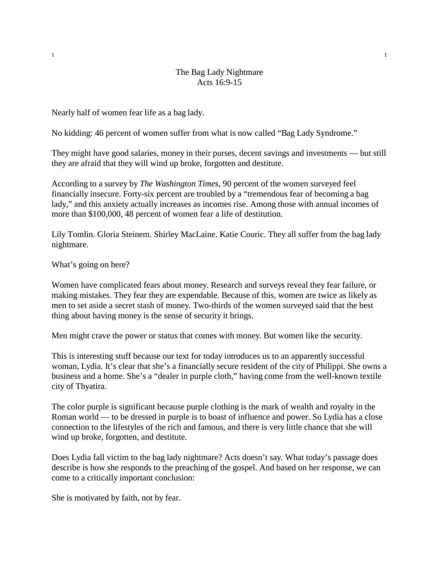## The Bag Lady Nightmare Acts 16:9-15

Nearly half of women fear life as a bag lady.

No kidding: 46 percent of women suffer from what is now called "Bag Lady Syndrome."

They might have good salaries, money in their purses, decent savings and investments — but still they are afraid that they will wind up broke, forgotten and destitute.

According to a survey by *The Washington Times*, 90 percent of the women surveyed feel financially insecure. Forty-six percent are troubled by a "tremendous fear of becoming a bag lady," and this anxiety actually increases as incomes rise. Among those with annual incomes of more than \$100,000, 48 percent of women fear a life of destitution.

Lily Tomlin. Gloria Steinem. Shirley MacLaine. Katie Couric. They all suffer from the bag lady nightmare.

What's going on here?

Women have complicated fears about money. Research and surveys reveal they fear failure, or making mistakes. They fear they are expendable. Because of this, women are twice as likely as men to set aside a secret stash of money. Two-thirds of the women surveyed said that the best thing about having money is the sense of security it brings.

Men might crave the power or status that comes with money. But women like the security.

This is interesting stuff because our text for today introduces us to an apparently successful woman, Lydia. It's clear that she's a financially secure resident of the city of Philippi. She owns a business and a home. She's a "dealer in purple cloth," having come from the well-known textile city of Thyatira.

The color purple is significant because purple clothing is the mark of wealth and royalty in the Roman world — to be dressed in purple is to boast of influence and power. So Lydia has a close connection to the lifestyles of the rich and famous, and there is very little chance that she will wind up broke, forgotten, and destitute.

Does Lydia fall victim to the bag lady nightmare? Acts doesn't say. What today's passage does describe is how she responds to the preaching of the gospel. And based on her response, we can come to a critically important conclusion:

She is motivated by faith, not by fear.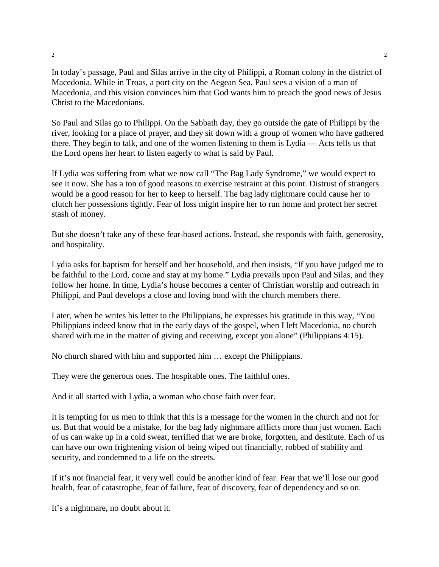In today's passage, Paul and Silas arrive in the city of Philippi, a Roman colony in the district of Macedonia. While in Troas, a port city on the Aegean Sea, Paul sees a vision of a man of Macedonia, and this vision convinces him that God wants him to preach the good news of Jesus Christ to the Macedonians.

So Paul and Silas go to Philippi. On the Sabbath day, they go outside the gate of Philippi by the river, looking for a place of prayer, and they sit down with a group of women who have gathered there. They begin to talk, and one of the women listening to them is Lydia — Acts tells us that the Lord opens her heart to listen eagerly to what is said by Paul.

If Lydia was suffering from what we now call "The Bag Lady Syndrome," we would expect to see it now. She has a ton of good reasons to exercise restraint at this point. Distrust of strangers would be a good reason for her to keep to herself. The bag lady nightmare could cause her to clutch her possessions tightly. Fear of loss might inspire her to run home and protect her secret stash of money.

But she doesn't take any of these fear-based actions. Instead, she responds with faith, generosity, and hospitality.

Lydia asks for baptism for herself and her household, and then insists, "If you have judged me to be faithful to the Lord, come and stay at my home." Lydia prevails upon Paul and Silas, and they follow her home. In time, Lydia's house becomes a center of Christian worship and outreach in Philippi, and Paul develops a close and loving bond with the church members there.

Later, when he writes his letter to the Philippians, he expresses his gratitude in this way, "You Philippians indeed know that in the early days of the gospel, when I left Macedonia, no church shared with me in the matter of giving and receiving, except you alone" (Philippians 4:15).

No church shared with him and supported him … except the Philippians.

They were the generous ones. The hospitable ones. The faithful ones.

And it all started with Lydia, a woman who chose faith over fear.

It is tempting for us men to think that this is a message for the women in the church and not for us. But that would be a mistake, for the bag lady nightmare afflicts more than just women. Each of us can wake up in a cold sweat, terrified that we are broke, forgotten, and destitute. Each of us can have our own frightening vision of being wiped out financially, robbed of stability and security, and condemned to a life on the streets.

If it's not financial fear, it very well could be another kind of fear. Fear that we'll lose our good health, fear of catastrophe, fear of failure, fear of discovery, fear of dependency and so on.

It's a nightmare, no doubt about it.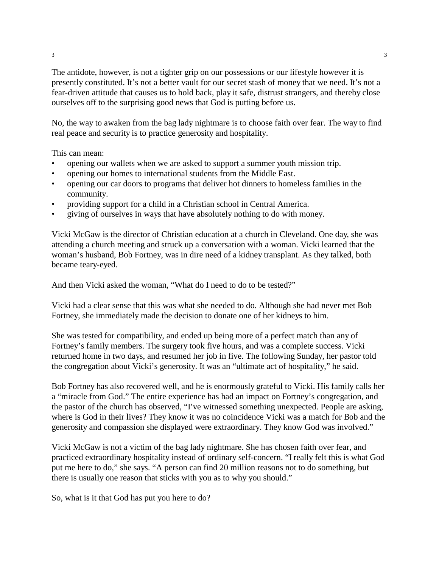The antidote, however, is not a tighter grip on our possessions or our lifestyle however it is presently constituted. It's not a better vault for our secret stash of money that we need. It's not a fear-driven attitude that causes us to hold back, play it safe, distrust strangers, and thereby close ourselves off to the surprising good news that God is putting before us.

No, the way to awaken from the bag lady nightmare is to choose faith over fear. The way to find real peace and security is to practice generosity and hospitality.

This can mean:

- opening our wallets when we are asked to support a summer youth mission trip.
- opening our homes to international students from the Middle East.
- opening our car doors to programs that deliver hot dinners to homeless families in the community.
- providing support for a child in a Christian school in Central America.
- giving of ourselves in ways that have absolutely nothing to do with money.

Vicki McGaw is the director of Christian education at a church in Cleveland. One day, she was attending a church meeting and struck up a conversation with a woman. Vicki learned that the woman's husband, Bob Fortney, was in dire need of a kidney transplant. As they talked, both became teary-eyed.

And then Vicki asked the woman, "What do I need to do to be tested?"

Vicki had a clear sense that this was what she needed to do. Although she had never met Bob Fortney, she immediately made the decision to donate one of her kidneys to him.

She was tested for compatibility, and ended up being more of a perfect match than any of Fortney's family members. The surgery took five hours, and was a complete success. Vicki returned home in two days, and resumed her job in five. The following Sunday, her pastor told the congregation about Vicki's generosity. It was an "ultimate act of hospitality," he said.

Bob Fortney has also recovered well, and he is enormously grateful to Vicki. His family calls her a "miracle from God." The entire experience has had an impact on Fortney's congregation, and the pastor of the church has observed, "I've witnessed something unexpected. People are asking, where is God in their lives? They know it was no coincidence Vicki was a match for Bob and the generosity and compassion she displayed were extraordinary. They know God was involved."

Vicki McGaw is not a victim of the bag lady nightmare. She has chosen faith over fear, and practiced extraordinary hospitality instead of ordinary self-concern. "I really felt this is what God put me here to do," she says. "A person can find 20 million reasons not to do something, but there is usually one reason that sticks with you as to why you should."

So, what is it that God has put you here to do?

 $3 \times 3$